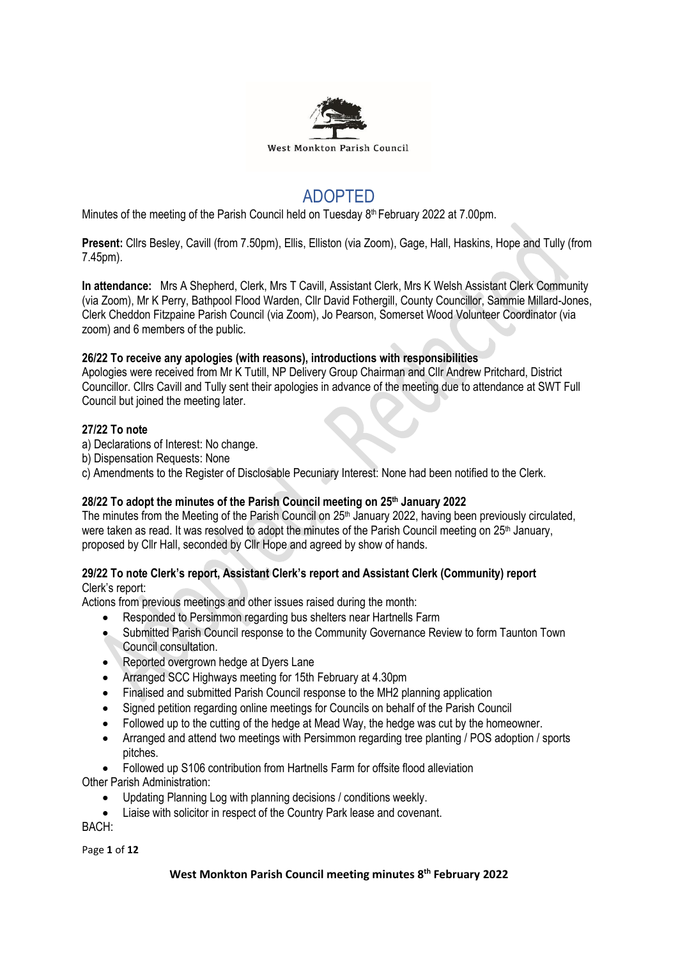

# ADOPTED

Minutes of the meeting of the Parish Council held on Tuesday 8<sup>th</sup> February 2022 at 7.00pm.

**Present:** Cllrs Besley, Cavill (from 7.50pm), Ellis, Elliston (via Zoom), Gage, Hall, Haskins, Hope and Tully (from 7.45pm).

**In attendance:** Mrs A Shepherd, Clerk, Mrs T Cavill, Assistant Clerk, Mrs K Welsh Assistant Clerk Community (via Zoom), Mr K Perry, Bathpool Flood Warden, Cllr David Fothergill, County Councillor, Sammie Millard-Jones, Clerk Cheddon Fitzpaine Parish Council (via Zoom), Jo Pearson, Somerset Wood Volunteer Coordinator (via zoom) and 6 members of the public.

# **26/22 To receive any apologies (with reasons), introductions with responsibilities**

Apologies were received from Mr K Tutill, NP Delivery Group Chairman and Cllr Andrew Pritchard, District Councillor. Cllrs Cavill and Tully sent their apologies in advance of the meeting due to attendance at SWT Full Council but joined the meeting later.

### **27/22 To note**

- a) Declarations of Interest: No change.
- b) Dispensation Requests: None
- c) Amendments to the Register of Disclosable Pecuniary Interest: None had been notified to the Clerk.

# **28/22 To adopt the minutes of the Parish Council meeting on 25th January 2022**

The minutes from the Meeting of the Parish Council on 25<sup>th</sup> January 2022, having been previously circulated, were taken as read. It was resolved to adopt the minutes of the Parish Council meeting on 25<sup>th</sup> January, proposed by Cllr Hall, seconded by Cllr Hope and agreed by show of hands.

#### **29/22 To note Clerk's report, Assistant Clerk's report and Assistant Clerk (Community) report** Clerk's report:

Actions from previous meetings and other issues raised during the month:

- Responded to Persimmon regarding bus shelters near Hartnells Farm
- Submitted Parish Council response to the Community Governance Review to form Taunton Town Council consultation.
- Reported overgrown hedge at Dyers Lane
- Arranged SCC Highways meeting for 15th February at 4.30pm
- Finalised and submitted Parish Council response to the MH2 planning application
- Signed petition regarding online meetings for Councils on behalf of the Parish Council
- Followed up to the cutting of the hedge at Mead Way, the hedge was cut by the homeowner.
- Arranged and attend two meetings with Persimmon regarding tree planting / POS adoption / sports pitches.
- Followed up S106 contribution from Hartnells Farm for offsite flood alleviation

Other Parish Administration:

- Updating Planning Log with planning decisions / conditions weekly.
- Liaise with solicitor in respect of the Country Park lease and covenant.

BACH:

Page **1** of **12**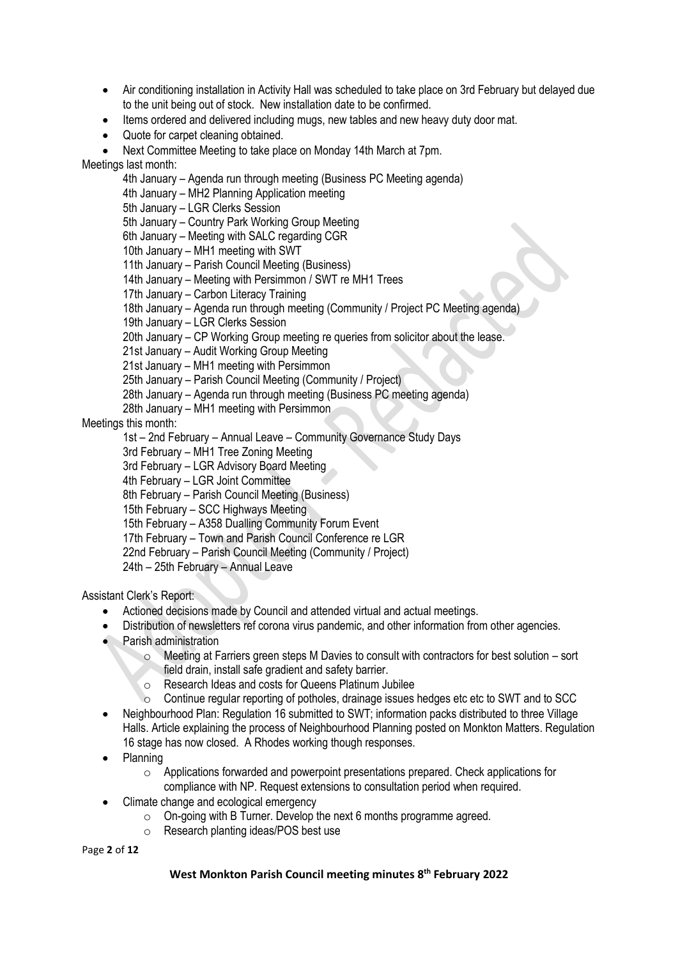- Air conditioning installation in Activity Hall was scheduled to take place on 3rd February but delayed due to the unit being out of stock. New installation date to be confirmed.
- Items ordered and delivered including mugs, new tables and new heavy duty door mat.
- Quote for carpet cleaning obtained.

• Next Committee Meeting to take place on Monday 14th March at 7pm.

Meetings last month:

4th January – Agenda run through meeting (Business PC Meeting agenda)

4th January – MH2 Planning Application meeting

5th January – LGR Clerks Session

5th January – Country Park Working Group Meeting

6th January – Meeting with SALC regarding CGR

10th January – MH1 meeting with SWT

11th January – Parish Council Meeting (Business)

14th January – Meeting with Persimmon / SWT re MH1 Trees

17th January – Carbon Literacy Training

18th January – Agenda run through meeting (Community / Project PC Meeting agenda)

19th January – LGR Clerks Session

20th January – CP Working Group meeting re queries from solicitor about the lease.

21st January – Audit Working Group Meeting

21st January – MH1 meeting with Persimmon

25th January – Parish Council Meeting (Community / Project)

28th January – Agenda run through meeting (Business PC meeting agenda)

28th January – MH1 meeting with Persimmon

Meetings this month:

1st – 2nd February – Annual Leave – Community Governance Study Days

3rd February – MH1 Tree Zoning Meeting

3rd February – LGR Advisory Board Meeting

4th February – LGR Joint Committee

8th February – Parish Council Meeting (Business)

15th February – SCC Highways Meeting

15th February – A358 Dualling Community Forum Event

17th February – Town and Parish Council Conference re LGR

22nd February – Parish Council Meeting (Community / Project)

24th – 25th February – Annual Leave

Assistant Clerk's Report:

- Actioned decisions made by Council and attended virtual and actual meetings.
- Distribution of newsletters ref corona virus pandemic, and other information from other agencies.
- Parish administration
	- $\circ$  Meeting at Farriers green steps M Davies to consult with contractors for best solution sort field drain, install safe gradient and safety barrier.
	- o Research Ideas and costs for Queens Platinum Jubilee
	- $\circ$  Continue regular reporting of potholes, drainage issues hedges etc etc to SWT and to SCC
- Neighbourhood Plan: Regulation 16 submitted to SWT; information packs distributed to three Village Halls. Article explaining the process of Neighbourhood Planning posted on Monkton Matters. Regulation 16 stage has now closed. A Rhodes working though responses.
- Planning
	- $\circ$  Applications forwarded and powerpoint presentations prepared. Check applications for compliance with NP. Request extensions to consultation period when required.
- Climate change and ecological emergency
	- o On-going with B Turner. Develop the next 6 months programme agreed.
	- o Research planting ideas/POS best use

Page **2** of **12**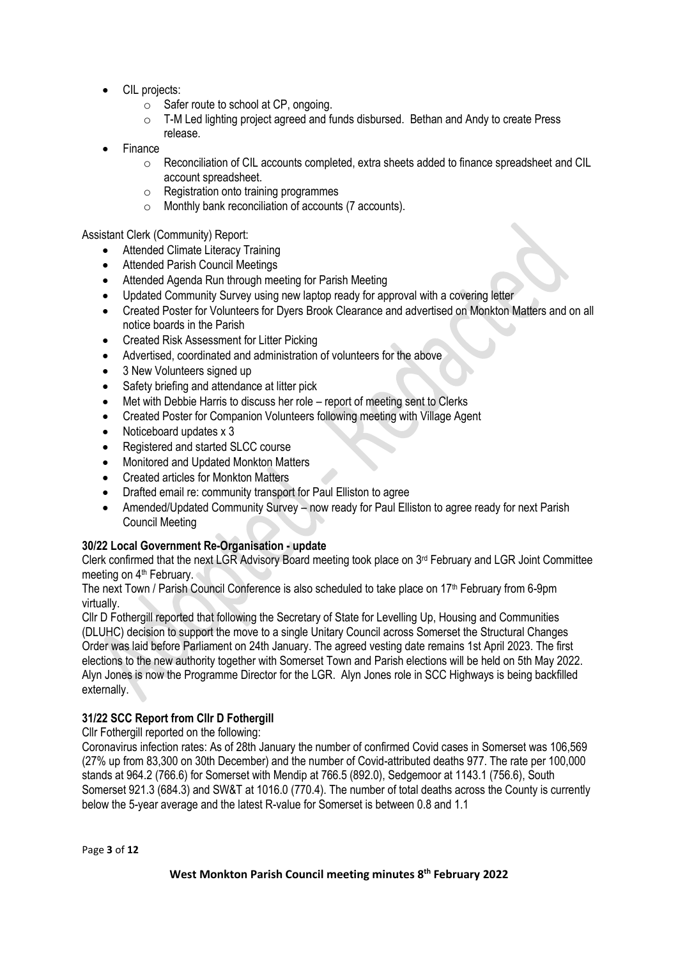- CIL projects:
	- o Safer route to school at CP, ongoing.
	- $\circ$  T-M Led lighting project agreed and funds disbursed. Bethan and Andy to create Press release.
- **Finance** 
	- $\circ$  Reconciliation of CIL accounts completed, extra sheets added to finance spreadsheet and CIL account spreadsheet.
	- o Registration onto training programmes
	- o Monthly bank reconciliation of accounts (7 accounts).

Assistant Clerk (Community) Report:

- Attended Climate Literacy Training
- Attended Parish Council Meetings
- Attended Agenda Run through meeting for Parish Meeting
- Updated Community Survey using new laptop ready for approval with a covering letter
- Created Poster for Volunteers for Dyers Brook Clearance and advertised on Monkton Matters and on all notice boards in the Parish
- Created Risk Assessment for Litter Picking
- Advertised, coordinated and administration of volunteers for the above
- 3 New Volunteers signed up
- Safety briefing and attendance at litter pick
- Met with Debbie Harris to discuss her role report of meeting sent to Clerks
- Created Poster for Companion Volunteers following meeting with Village Agent
- Noticeboard updates x 3
- Registered and started SLCC course
- Monitored and Updated Monkton Matters
- Created articles for Monkton Matters
- Drafted email re: community transport for Paul Elliston to agree
- Amended/Updated Community Survey now ready for Paul Elliston to agree ready for next Parish Council Meeting

# **30/22 Local Government Re-Organisation - update**

Clerk confirmed that the next LGR Advisory Board meeting took place on 3rd February and LGR Joint Committee meeting on 4<sup>th</sup> February.

The next Town / Parish Council Conference is also scheduled to take place on  $17<sup>th</sup>$  February from 6-9pm virtually.

Cllr D Fothergill reported that following the Secretary of State for Levelling Up, Housing and Communities (DLUHC) decision to support the move to a single Unitary Council across Somerset the Structural Changes Order was laid before Parliament on 24th January. The agreed vesting date remains 1st April 2023. The first elections to the new authority together with Somerset Town and Parish elections will be held on 5th May 2022. Alyn Jones is now the Programme Director for the LGR. Alyn Jones role in SCC Highways is being backfilled externally.

# **31/22 SCC Report from Cllr D Fothergill**

Cllr Fothergill reported on the following:

Coronavirus infection rates: As of 28th January the number of confirmed Covid cases in Somerset was 106,569 (27% up from 83,300 on 30th December) and the number of Covid-attributed deaths 977. The rate per 100,000 stands at 964.2 (766.6) for Somerset with Mendip at 766.5 (892.0), Sedgemoor at 1143.1 (756.6), South Somerset 921.3 (684.3) and SW&T at 1016.0 (770.4). The number of total deaths across the County is currently below the 5-year average and the latest R-value for Somerset is between 0.8 and 1.1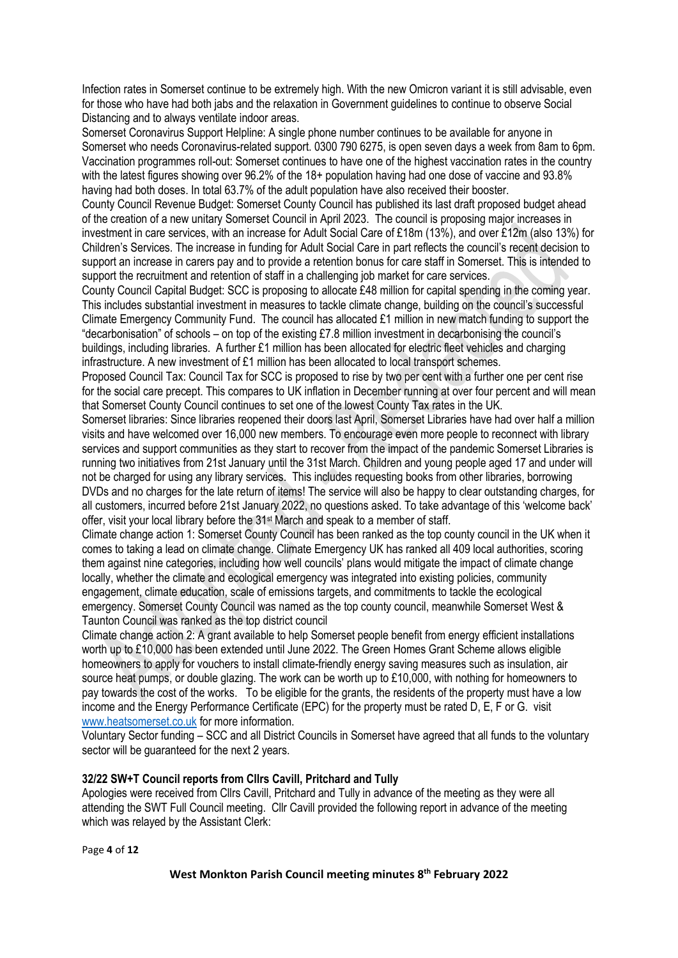Infection rates in Somerset continue to be extremely high. With the new Omicron variant it is still advisable, even for those who have had both jabs and the relaxation in Government guidelines to continue to observe Social Distancing and to always ventilate indoor areas.

Somerset Coronavirus Support Helpline: A single phone number continues to be available for anyone in Somerset who needs Coronavirus-related support. 0300 790 6275, is open seven days a week from 8am to 6pm. Vaccination programmes roll-out: Somerset continues to have one of the highest vaccination rates in the country with the latest figures showing over 96.2% of the 18+ population having had one dose of vaccine and 93.8% having had both doses. In total 63.7% of the adult population have also received their booster.

County Council Revenue Budget: Somerset County Council has published its last draft proposed budget ahead of the creation of a new unitary Somerset Council in April 2023. The council is proposing major increases in investment in care services, with an increase for Adult Social Care of £18m (13%), and over £12m (also 13%) for Children's Services. The increase in funding for Adult Social Care in part reflects the council's recent decision to support an increase in carers pay and to provide a retention bonus for care staff in Somerset. This is intended to support the recruitment and retention of staff in a challenging job market for care services.

County Council Capital Budget: SCC is proposing to allocate £48 million for capital spending in the coming year. This includes substantial investment in measures to tackle climate change, building on the council's successful Climate Emergency Community Fund. The council has allocated £1 million in new match funding to support the "decarbonisation" of schools – on top of the existing £7.8 million investment in decarbonising the council's buildings, including libraries. A further £1 million has been allocated for electric fleet vehicles and charging infrastructure. A new investment of  $£1$  million has been allocated to local transport schemes.

Proposed Council Tax: Council Tax for SCC is proposed to rise by two per cent with a further one per cent rise for the social care precept. This compares to UK inflation in December running at over four percent and will mean that Somerset County Council continues to set one of the lowest County Tax rates in the UK.

Somerset libraries: Since libraries reopened their doors last April, Somerset Libraries have had over half a million visits and have welcomed over 16,000 new members. To encourage even more people to reconnect with library services and support communities as they start to recover from the impact of the pandemic Somerset Libraries is running two initiatives from 21st January until the 31st March. Children and young people aged 17 and under will not be charged for using any library services. This includes requesting books from other libraries, borrowing DVDs and no charges for the late return of items! The service will also be happy to clear outstanding charges, for all customers, incurred before 21st January 2022, no questions asked. To take advantage of this 'welcome back' offer, visit your local library before the 31st March and speak to a member of staff.

Climate change action 1: Somerset County Council has been ranked as the top county council in the UK when it comes to taking a lead on climate change. Climate Emergency UK has ranked all 409 local authorities, scoring them against nine categories, including how well councils' plans would mitigate the impact of climate change locally, whether the climate and ecological emergency was integrated into existing policies, community engagement, climate education, scale of emissions targets, and commitments to tackle the ecological emergency. Somerset County Council was named as the top county council, meanwhile Somerset West & Taunton Council was ranked as the top district council

Climate change action 2: A grant available to help Somerset people benefit from energy efficient installations worth up to £10,000 has been extended until June 2022. The Green Homes Grant Scheme allows eligible homeowners to apply for vouchers to install climate-friendly energy saving measures such as insulation, air source heat pumps, or double glazing. The work can be worth up to £10,000, with nothing for homeowners to pay towards the cost of the works. To be eligible for the grants, the residents of the property must have a low income and the Energy Performance Certificate (EPC) for the property must be rated D, E, F or G. visit [www.heatsomerset.co.uk](http://www.heatsomerset.co.uk/) for more information.

Voluntary Sector funding – SCC and all District Councils in Somerset have agreed that all funds to the voluntary sector will be guaranteed for the next 2 years.

### **32/22 SW+T Council reports from Cllrs Cavill, Pritchard and Tully**

Apologies were received from Cllrs Cavill, Pritchard and Tully in advance of the meeting as they were all attending the SWT Full Council meeting. Cllr Cavill provided the following report in advance of the meeting which was relayed by the Assistant Clerk:

Page **4** of **12**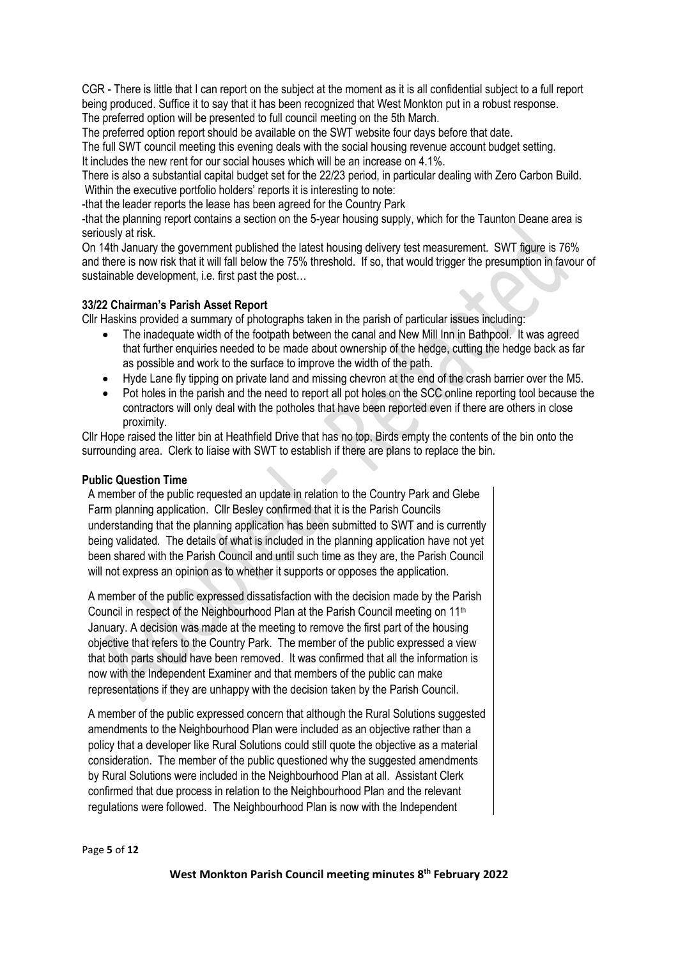CGR - There is little that I can report on the subject at the moment as it is all confidential subject to a full report being produced. Suffice it to say that it has been recognized that West Monkton put in a robust response. The preferred option will be presented to full council meeting on the 5th March.

The preferred option report should be available on the SWT website four days before that date.

The full SWT council meeting this evening deals with the social housing revenue account budget setting. It includes the new rent for our social houses which will be an increase on 4.1%.

There is also a substantial capital budget set for the 22/23 period, in particular dealing with Zero Carbon Build. Within the executive portfolio holders' reports it is interesting to note:

-that the leader reports the lease has been agreed for the Country Park

-that the planning report contains a section on the 5-year housing supply, which for the Taunton Deane area is seriously at risk.

On 14th January the government published the latest housing delivery test measurement. SWT figure is 76% and there is now risk that it will fall below the 75% threshold. If so, that would trigger the presumption in favour of sustainable development, i.e. first past the post…

### **33/22 Chairman's Parish Asset Report**

Cllr Haskins provided a summary of photographs taken in the parish of particular issues including:

- The inadequate width of the footpath between the canal and New Mill Inn in Bathpool. It was agreed that further enquiries needed to be made about ownership of the hedge, cutting the hedge back as far as possible and work to the surface to improve the width of the path.
- Hyde Lane fly tipping on private land and missing chevron at the end of the crash barrier over the M5.
- Pot holes in the parish and the need to report all pot holes on the SCC online reporting tool because the contractors will only deal with the potholes that have been reported even if there are others in close proximity.

Cllr Hope raised the litter bin at Heathfield Drive that has no top. Birds empty the contents of the bin onto the surrounding area. Clerk to liaise with SWT to establish if there are plans to replace the bin.

### **Public Question Time**

A member of the public requested an update in relation to the Country Park and Glebe Farm planning application. Cllr Besley confirmed that it is the Parish Councils understanding that the planning application has been submitted to SWT and is currently being validated. The details of what is included in the planning application have not yet been shared with the Parish Council and until such time as they are, the Parish Council will not express an opinion as to whether it supports or opposes the application.

A member of the public expressed dissatisfaction with the decision made by the Parish Council in respect of the Neighbourhood Plan at the Parish Council meeting on 11<sup>th</sup> January. A decision was made at the meeting to remove the first part of the housing objective that refers to the Country Park. The member of the public expressed a view that both parts should have been removed. It was confirmed that all the information is now with the Independent Examiner and that members of the public can make representations if they are unhappy with the decision taken by the Parish Council.

A member of the public expressed concern that although the Rural Solutions suggested amendments to the Neighbourhood Plan were included as an objective rather than a policy that a developer like Rural Solutions could still quote the objective as a material consideration. The member of the public questioned why the suggested amendments by Rural Solutions were included in the Neighbourhood Plan at all. Assistant Clerk confirmed that due process in relation to the Neighbourhood Plan and the relevant regulations were followed. The Neighbourhood Plan is now with the Independent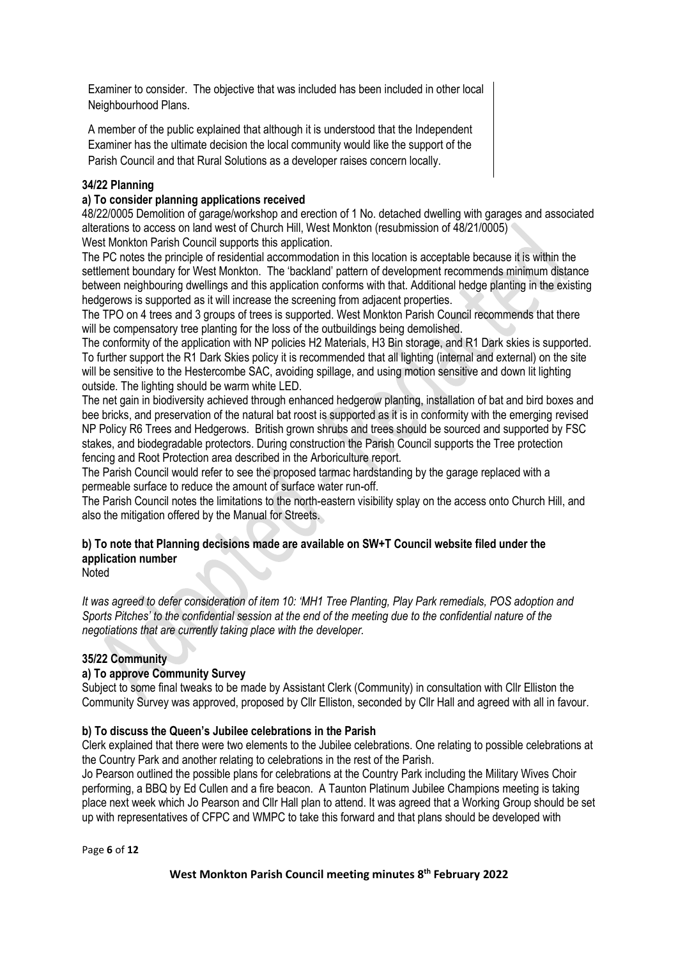Examiner to consider. The objective that was included has been included in other local Neighbourhood Plans.

A member of the public explained that although it is understood that the Independent Examiner has the ultimate decision the local community would like the support of the Parish Council and that Rural Solutions as a developer raises concern locally.

# **34/22 Planning**

# **a) To consider planning applications received**

48/22/0005 Demolition of garage/workshop and erection of 1 No. detached dwelling with garages and associated alterations to access on land west of Church Hill, West Monkton (resubmission of 48/21/0005) West Monkton Parish Council supports this application.

The PC notes the principle of residential accommodation in this location is acceptable because it is within the settlement boundary for West Monkton. The 'backland' pattern of development recommends minimum distance between neighbouring dwellings and this application conforms with that. Additional hedge planting in the existing hedgerows is supported as it will increase the screening from adjacent properties.

The TPO on 4 trees and 3 groups of trees is supported. West Monkton Parish Council recommends that there will be compensatory tree planting for the loss of the outbuildings being demolished.

The conformity of the application with NP policies H2 Materials, H3 Bin storage, and R1 Dark skies is supported. To further support the R1 Dark Skies policy it is recommended that all lighting (internal and external) on the site will be sensitive to the Hestercombe SAC, avoiding spillage, and using motion sensitive and down lit lighting outside. The lighting should be warm white LED.

The net gain in biodiversity achieved through enhanced hedgerow planting, installation of bat and bird boxes and bee bricks, and preservation of the natural bat roost is supported as it is in conformity with the emerging revised NP Policy R6 Trees and Hedgerows. British grown shrubs and trees should be sourced and supported by FSC stakes, and biodegradable protectors. During construction the Parish Council supports the Tree protection fencing and Root Protection area described in the Arboriculture report.

The Parish Council would refer to see the proposed tarmac hardstanding by the garage replaced with a permeable surface to reduce the amount of surface water run-off.

The Parish Council notes the limitations to the north-eastern visibility splay on the access onto Church Hill, and also the mitigation offered by the Manual for Streets.

# **b) To note that Planning decisions made are available on SW+T Council website filed under the application number**

**Noted** 

*It was agreed to defer consideration of item 10: 'MH1 Tree Planting, Play Park remedials, POS adoption and Sports Pitches' to the confidential session at the end of the meeting due to the confidential nature of the negotiations that are currently taking place with the developer.*

# **35/22 Community**

# **a) To approve Community Survey**

Subject to some final tweaks to be made by Assistant Clerk (Community) in consultation with Cllr Elliston the Community Survey was approved, proposed by Cllr Elliston, seconded by Cllr Hall and agreed with all in favour.

# **b) To discuss the Queen's Jubilee celebrations in the Parish**

Clerk explained that there were two elements to the Jubilee celebrations. One relating to possible celebrations at the Country Park and another relating to celebrations in the rest of the Parish.

Jo Pearson outlined the possible plans for celebrations at the Country Park including the Military Wives Choir performing, a BBQ by Ed Cullen and a fire beacon. A Taunton Platinum Jubilee Champions meeting is taking place next week which Jo Pearson and Cllr Hall plan to attend. It was agreed that a Working Group should be set up with representatives of CFPC and WMPC to take this forward and that plans should be developed with

Page **6** of **12**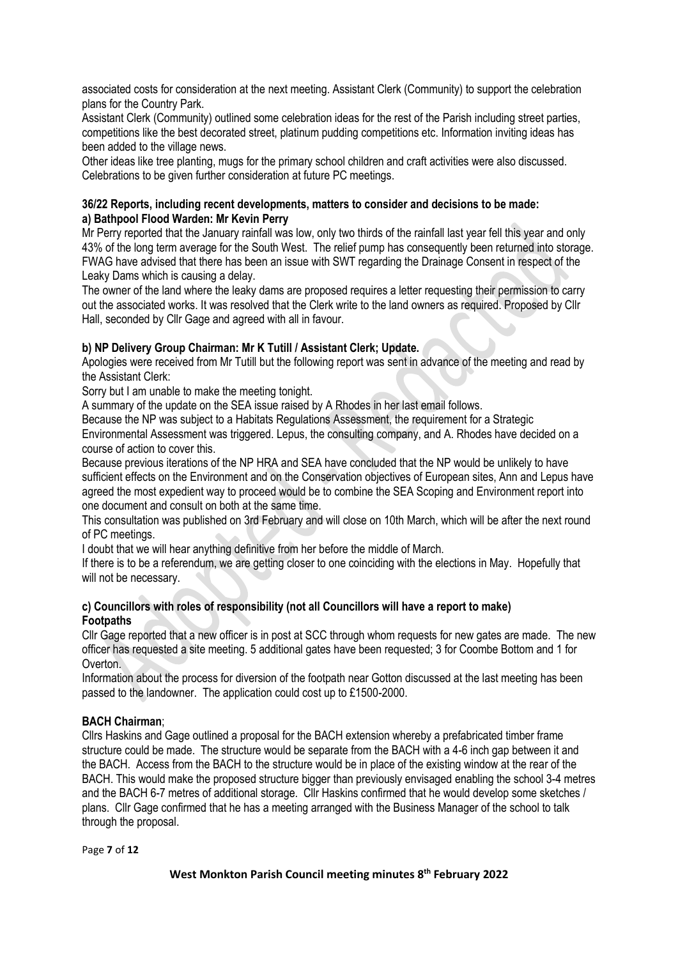associated costs for consideration at the next meeting. Assistant Clerk (Community) to support the celebration plans for the Country Park.

Assistant Clerk (Community) outlined some celebration ideas for the rest of the Parish including street parties, competitions like the best decorated street, platinum pudding competitions etc. Information inviting ideas has been added to the village news.

Other ideas like tree planting, mugs for the primary school children and craft activities were also discussed. Celebrations to be given further consideration at future PC meetings.

### **36/22 Reports, including recent developments, matters to consider and decisions to be made: a) Bathpool Flood Warden: Mr Kevin Perry**

Mr Perry reported that the January rainfall was low, only two thirds of the rainfall last year fell this year and only 43% of the long term average for the South West. The relief pump has consequently been returned into storage. FWAG have advised that there has been an issue with SWT regarding the Drainage Consent in respect of the Leaky Dams which is causing a delay.

The owner of the land where the leaky dams are proposed requires a letter requesting their permission to carry out the associated works. It was resolved that the Clerk write to the land owners as required. Proposed by Cllr Hall, seconded by Cllr Gage and agreed with all in favour.

# **b) NP Delivery Group Chairman: Mr K Tutill / Assistant Clerk; Update.**

Apologies were received from Mr Tutill but the following report was sent in advance of the meeting and read by the Assistant Clerk:

Sorry but I am unable to make the meeting tonight.

A summary of the update on the SEA issue raised by A Rhodes in her last email follows.

Because the NP was subject to a Habitats Regulations Assessment, the requirement for a Strategic

Environmental Assessment was triggered. Lepus, the consulting company, and A. Rhodes have decided on a course of action to cover this.

Because previous iterations of the NP HRA and SEA have concluded that the NP would be unlikely to have sufficient effects on the Environment and on the Conservation objectives of European sites, Ann and Lepus have agreed the most expedient way to proceed would be to combine the SEA Scoping and Environment report into one document and consult on both at the same time.

This consultation was published on 3rd February and will close on 10th March, which will be after the next round of PC meetings.

I doubt that we will hear anything definitive from her before the middle of March.

If there is to be a referendum, we are getting closer to one coinciding with the elections in May. Hopefully that will not be necessary.

### **c) Councillors with roles of responsibility (not all Councillors will have a report to make) Footpaths**

Cllr Gage reported that a new officer is in post at SCC through whom requests for new gates are made. The new officer has requested a site meeting. 5 additional gates have been requested; 3 for Coombe Bottom and 1 for Overton.

Information about the process for diversion of the footpath near Gotton discussed at the last meeting has been passed to the landowner. The application could cost up to £1500-2000.

# **BACH Chairman**;

Cllrs Haskins and Gage outlined a proposal for the BACH extension whereby a prefabricated timber frame structure could be made. The structure would be separate from the BACH with a 4-6 inch gap between it and the BACH. Access from the BACH to the structure would be in place of the existing window at the rear of the BACH. This would make the proposed structure bigger than previously envisaged enabling the school 3-4 metres and the BACH 6-7 metres of additional storage. Cllr Haskins confirmed that he would develop some sketches / plans. Cllr Gage confirmed that he has a meeting arranged with the Business Manager of the school to talk through the proposal.

Page **7** of **12**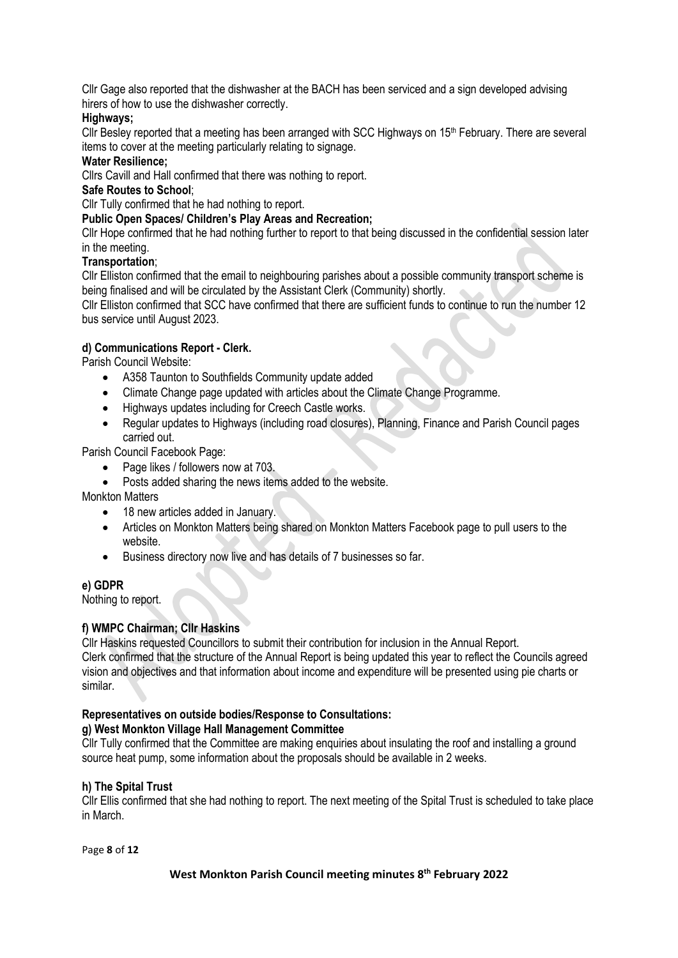Cllr Gage also reported that the dishwasher at the BACH has been serviced and a sign developed advising hirers of how to use the dishwasher correctly.

# **Highways;**

Cllr Besley reported that a meeting has been arranged with SCC Highways on 15<sup>th</sup> February. There are several items to cover at the meeting particularly relating to signage.

### **Water Resilience;**

Cllrs Cavill and Hall confirmed that there was nothing to report.

# **Safe Routes to School**;

Cllr Tully confirmed that he had nothing to report.

# **Public Open Spaces/ Children's Play Areas and Recreation;**

Cllr Hope confirmed that he had nothing further to report to that being discussed in the confidential session later in the meeting.

# **Transportation**;

Cllr Elliston confirmed that the email to neighbouring parishes about a possible community transport scheme is being finalised and will be circulated by the Assistant Clerk (Community) shortly.

Cllr Elliston confirmed that SCC have confirmed that there are sufficient funds to continue to run the number 12 bus service until August 2023.

# **d) Communications Report - Clerk.**

Parish Council Website:

- A358 Taunton to Southfields Community update added
- Climate Change page updated with articles about the Climate Change Programme.
- Highways updates including for Creech Castle works.
- Regular updates to Highways (including road closures), Planning, Finance and Parish Council pages carried out.

Parish Council Facebook Page:

- Page likes / followers now at 703.
- Posts added sharing the news items added to the website.

Monkton Matters

- 18 new articles added in January.
- Articles on Monkton Matters being shared on Monkton Matters Facebook page to pull users to the website.
- Business directory now live and has details of 7 businesses so far.

### **e) GDPR**

Nothing to report.

# **f) WMPC Chairman; Cllr Haskins**

Cllr Haskins requested Councillors to submit their contribution for inclusion in the Annual Report. Clerk confirmed that the structure of the Annual Report is being updated this year to reflect the Councils agreed vision and objectives and that information about income and expenditure will be presented using pie charts or similar.

# **Representatives on outside bodies/Response to Consultations:**

# **g) West Monkton Village Hall Management Committee**

Cllr Tully confirmed that the Committee are making enquiries about insulating the roof and installing a ground source heat pump, some information about the proposals should be available in 2 weeks.

# **h) The Spital Trust**

Cllr Ellis confirmed that she had nothing to report. The next meeting of the Spital Trust is scheduled to take place in March.

Page **8** of **12**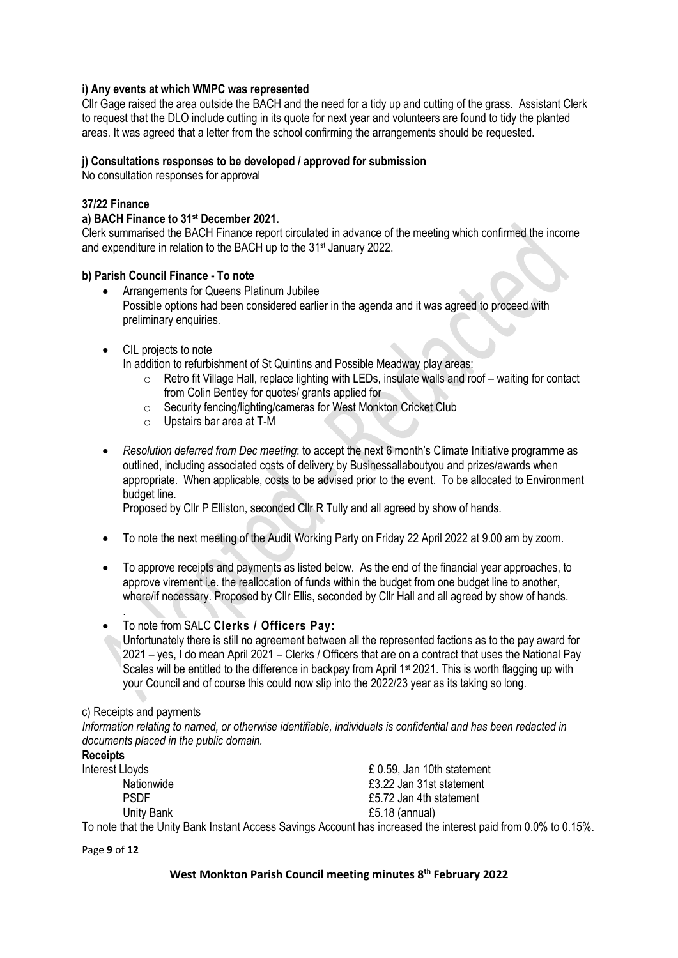### **i) Any events at which WMPC was represented**

Cllr Gage raised the area outside the BACH and the need for a tidy up and cutting of the grass. Assistant Clerk to request that the DLO include cutting in its quote for next year and volunteers are found to tidy the planted areas. It was agreed that a letter from the school confirming the arrangements should be requested.

### **j) Consultations responses to be developed / approved for submission**

No consultation responses for approval

### **37/22 Finance**

### **a) BACH Finance to 31 st December 2021.**

Clerk summarised the BACH Finance report circulated in advance of the meeting which confirmed the income and expenditure in relation to the BACH up to the 31st January 2022.

### **b) Parish Council Finance - To note**

- Arrangements for Queens Platinum Jubilee Possible options had been considered earlier in the agenda and it was agreed to proceed with preliminary enquiries.
- CIL projects to note

In addition to refurbishment of St Quintins and Possible Meadway play areas:

- $\circ$  Retro fit Village Hall, replace lighting with LEDs, insulate walls and roof waiting for contact from Colin Bentley for quotes/ grants applied for
- o Security fencing/lighting/cameras for West Monkton Cricket Club
- o Upstairs bar area at T-M
- *Resolution deferred from Dec meeting*: to accept the next 6 month's Climate Initiative programme as outlined, including associated costs of delivery by Businessallaboutyou and prizes/awards when appropriate. When applicable, costs to be advised prior to the event. To be allocated to Environment budget line.

Proposed by Cllr P Elliston, seconded Cllr R Tully and all agreed by show of hands.

- To note the next meeting of the Audit Working Party on Friday 22 April 2022 at 9.00 am by zoom.
- To approve receipts and payments as listed below. As the end of the financial year approaches, to approve virement i.e. the reallocation of funds within the budget from one budget line to another, where/if necessary. Proposed by Cllr Ellis, seconded by Cllr Hall and all agreed by show of hands.
- To note from SALC **Clerks / Officers Pay:**
	- Unfortunately there is still no agreement between all the represented factions as to the pay award for 2021 – yes, I do mean April 2021 – Clerks / Officers that are on a contract that uses the National Pay Scales will be entitled to the difference in backpay from April 1<sup>st</sup> 2021. This is worth flagging up with your Council and of course this could now slip into the 2022/23 year as its taking so long.

### c) Receipts and payments

.

*Information relating to named, or otherwise identifiable, individuals is confidential and has been redacted in documents placed in the public domain.*

| <b>Receipts</b> |                                                                                                                |
|-----------------|----------------------------------------------------------------------------------------------------------------|
| Interest Lloyds | £ 0.59, Jan 10th statement                                                                                     |
| Nationwide      | £3.22 Jan 31st statement                                                                                       |
| <b>PSDF</b>     | £5.72 Jan 4th statement                                                                                        |
| Unity Bank      | £5.18 (annual)                                                                                                 |
|                 | To note that the Unity Bank Instant Access Savings Account has increased the interest paid from 0.0% to 0.15%. |

Page **9** of **12**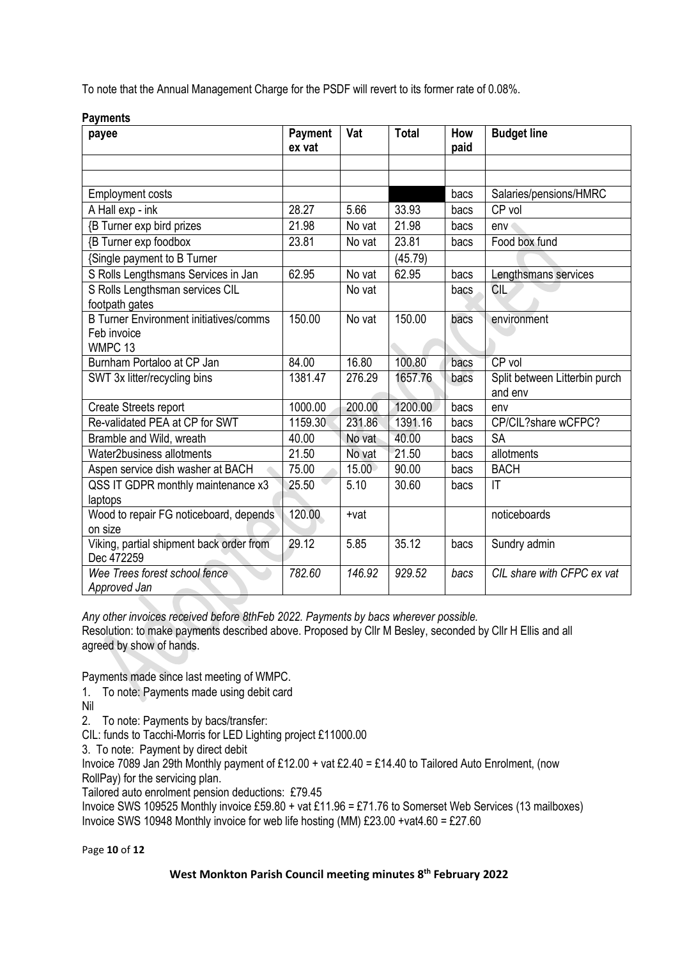To note that the Annual Management Charge for the PSDF will revert to its former rate of 0.08%.

| w,<br>payee                                            | <b>Payment</b><br>ex vat | Vat    | <b>Total</b> | How<br>paid | <b>Budget line</b>                       |
|--------------------------------------------------------|--------------------------|--------|--------------|-------------|------------------------------------------|
|                                                        |                          |        |              |             |                                          |
|                                                        |                          |        |              |             |                                          |
| <b>Employment costs</b>                                |                          |        |              | bacs        | Salaries/pensions/HMRC                   |
| A Hall exp - ink                                       | 28.27                    | 5.66   | 33.93        | bacs        | CP vol                                   |
| {B Turner exp bird prizes                              | 21.98                    | No vat | 21.98        | bacs        | env                                      |
| <b>{B Turner exp foodbox</b>                           | 23.81                    | No vat | 23.81        | bacs        | Food box fund                            |
| {Single payment to B Turner                            |                          |        | (45.79)      |             |                                          |
| S Rolls Lengthsmans Services in Jan                    | 62.95                    | No vat | 62.95        | bacs        | Lengthsmans services                     |
| S Rolls Lengthsman services CIL<br>footpath gates      |                          | No vat |              | bacs        | <b>CIL</b>                               |
| <b>B Turner Environment initiatives/comms</b>          | 150.00                   | No vat | 150.00       | bacs        | environment                              |
| Feb invoice                                            |                          |        |              |             |                                          |
| WMPC <sub>13</sub>                                     |                          |        |              |             |                                          |
| Burnham Portaloo at CP Jan                             | 84.00                    | 16.80  | 100.80       | bacs        | CP vol                                   |
| SWT 3x litter/recycling bins                           | 1381.47                  | 276.29 | 1657.76      | bacs        | Split between Litterbin purch<br>and env |
| <b>Create Streets report</b>                           | 1000.00                  | 200.00 | 1200.00      | bacs        | env                                      |
| Re-validated PEA at CP for SWT                         | 1159.30                  | 231.86 | 1391.16      | bacs        | CP/CIL?share wCFPC?                      |
| Bramble and Wild, wreath                               | 40.00                    | No vat | 40.00        | bacs        | <b>SA</b>                                |
| Water2business allotments                              | 21.50                    | No vat | 21.50        | bacs        | allotments                               |
| Aspen service dish washer at BACH                      | 75.00                    | 15.00  | 90.00        | bacs        | <b>BACH</b>                              |
| QSS IT GDPR monthly maintenance x3                     | 25.50                    | 5.10   | 30.60        | bacs        | $\mathsf{I}\mathsf{T}$                   |
| laptops                                                |                          |        |              |             |                                          |
| Wood to repair FG noticeboard, depends                 | 120.00                   | +vat   |              |             | noticeboards                             |
| on size                                                |                          |        |              |             |                                          |
| Viking, partial shipment back order from<br>Dec 472259 | 29.12                    | 5.85   | 35.12        | bacs        | Sundry admin                             |
| Wee Trees forest school fence<br>Approved Jan          | 782.60                   | 146.92 | 929.52       | bacs        | CIL share with CFPC ex vat               |

**Payments**

*Any other invoices received before 8thFeb 2022. Payments by bacs wherever possible.* Resolution: to make payments described above. Proposed by Cllr M Besley, seconded by Cllr H Ellis and all agreed by show of hands.

Payments made since last meeting of WMPC.

- 1. To note: Payments made using debit card
- Nil

2. To note: Payments by bacs/transfer:

CIL: funds to Tacchi-Morris for LED Lighting project £11000.00

3. To note: Payment by direct debit

Invoice 7089 Jan 29th Monthly payment of £12.00 + vat £2.40 = £14.40 to Tailored Auto Enrolment, (now RollPay) for the servicing plan.

Tailored auto enrolment pension deductions: £79.45

Invoice SWS 109525 Monthly invoice £59.80 + vat £11.96 = £71.76 to Somerset Web Services (13 mailboxes) Invoice SWS 10948 Monthly invoice for web life hosting (MM) £23.00 +vat4.60 = £27.60

Page **10** of **12**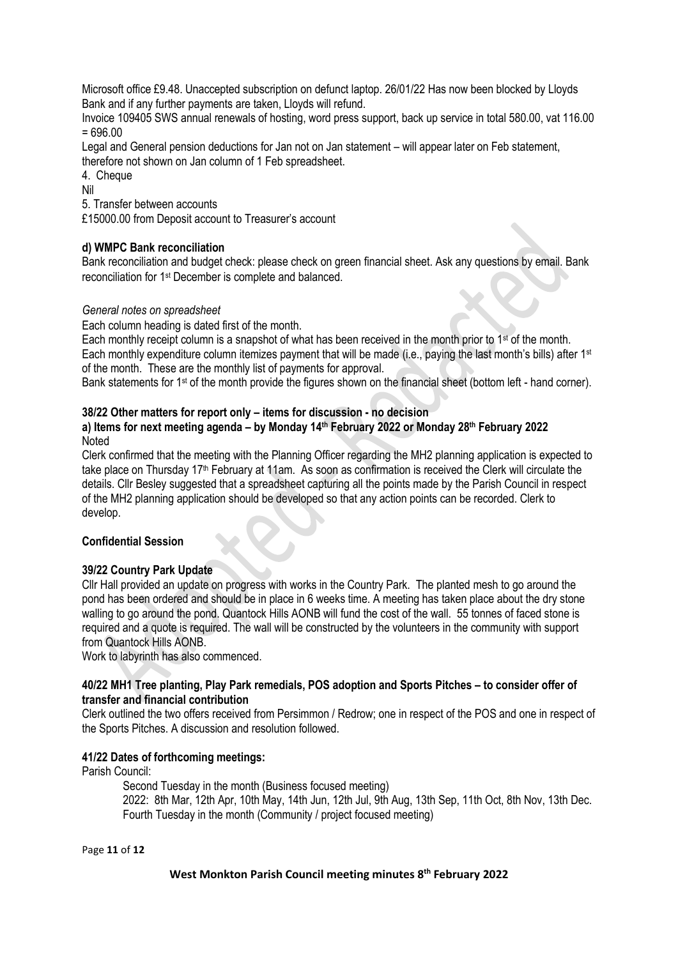Microsoft office £9.48. Unaccepted subscription on defunct laptop. 26/01/22 Has now been blocked by Lloyds Bank and if any further payments are taken, Lloyds will refund.

Invoice 109405 SWS annual renewals of hosting, word press support, back up service in total 580.00, vat 116.00  $= 696.00$ 

Legal and General pension deductions for Jan not on Jan statement – will appear later on Feb statement, therefore not shown on Jan column of 1 Feb spreadsheet.

4. Cheque

Nil

5. Transfer between accounts

£15000.00 from Deposit account to Treasurer's account

# **d) WMPC Bank reconciliation**

Bank reconciliation and budget check: please check on green financial sheet. Ask any questions by email. Bank reconciliation for 1st December is complete and balanced.

### *General notes on spreadsheet*

Each column heading is dated first of the month.

Each monthly receipt column is a snapshot of what has been received in the month prior to 1st of the month. Each monthly expenditure column itemizes payment that will be made (i.e., paying the last month's bills) after 1st of the month. These are the monthly list of payments for approval.

Bank statements for 1<sup>st</sup> of the month provide the figures shown on the financial sheet (bottom left - hand corner).

### **38/22 Other matters for report only – items for discussion - no decision**

### **a) Items for next meeting agenda – by Monday 14 th February 2022 or Monday 28th February 2022** Noted

Clerk confirmed that the meeting with the Planning Officer regarding the MH2 planning application is expected to take place on Thursday 17<sup>th</sup> February at 11am. As soon as confirmation is received the Clerk will circulate the details. Cllr Besley suggested that a spreadsheet capturing all the points made by the Parish Council in respect of the MH2 planning application should be developed so that any action points can be recorded. Clerk to develop.

### **Confidential Session**

### **39/22 Country Park Update**

Cllr Hall provided an update on progress with works in the Country Park. The planted mesh to go around the pond has been ordered and should be in place in 6 weeks time. A meeting has taken place about the dry stone walling to go around the pond. Quantock Hills AONB will fund the cost of the wall. 55 tonnes of faced stone is required and a quote is required. The wall will be constructed by the volunteers in the community with support from Quantock Hills AONB.

Work to labyrinth has also commenced.

### **40/22 MH1 Tree planting, Play Park remedials, POS adoption and Sports Pitches – to consider offer of transfer and financial contribution**

Clerk outlined the two offers received from Persimmon / Redrow; one in respect of the POS and one in respect of the Sports Pitches. A discussion and resolution followed.

### **41/22 Dates of forthcoming meetings:**

Parish Council:

Second Tuesday in the month (Business focused meeting) 2022: 8th Mar, 12th Apr, 10th May, 14th Jun, 12th Jul, 9th Aug, 13th Sep, 11th Oct, 8th Nov, 13th Dec. Fourth Tuesday in the month (Community / project focused meeting)

Page **11** of **12**